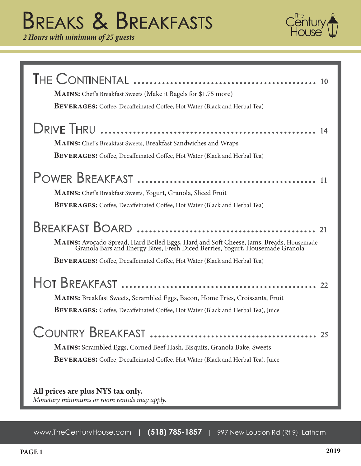# Breaks & Breakfasts

*2 Hours with minimum of 25 guests*



| <b>MAINS:</b> Chef's Breakfast Sweets (Make it Bagels for \$1.75 more)<br><b>BEVERAGES:</b> Coffee, Decaffeinated Coffee, Hot Water (Black and Herbal Tea)                                                                                               |
|----------------------------------------------------------------------------------------------------------------------------------------------------------------------------------------------------------------------------------------------------------|
| <b>MAINS:</b> Chef's Breakfast Sweets, Breakfast Sandwiches and Wraps<br><b>BEVERAGES:</b> Coffee, Decaffeinated Coffee, Hot Water (Black and Herbal Tea)                                                                                                |
| -11<br><b>MAINS:</b> Chef's Breakfast Sweets, Yogurt, Granola, Sliced Fruit<br><b>BEVERAGES:</b> Coffee, Decaffeinated Coffee, Hot Water (Black and Herbal Tea)                                                                                          |
| MAINS: Avocado Spread, Hard Boiled Eggs, Hard and Soft Cheese, Jams, Breads, Housemade Granola Bars and Energy Bites, Fresh Diced Berries, Yogurt, Housemade Granola<br><b>BEVERAGES:</b> Coffee, Decaffeinated Coffee, Hot Water (Black and Herbal Tea) |
| <b>MAINS:</b> Breakfast Sweets, Scrambled Eggs, Bacon, Home Fries, Croissants, Fruit<br><b>BEVERAGES:</b> Coffee, Decaffeinated Coffee, Hot Water (Black and Herbal Tea), Juice                                                                          |
| MAINS: Scrambled Eggs, Corned Beef Hash, Bisquits, Granola Bake, Sweets<br><b>BEVERAGES:</b> Coffee, Decaffeinated Coffee, Hot Water (Black and Herbal Tea), Juice                                                                                       |
| All prices are plus NYS tax only.                                                                                                                                                                                                                        |

*Monetary minimums or room rentals may apply.*

www.TheCenturyHouse.com | **(518) 785-1857** | 997 New Loudon Rd (Rt 9), Latham